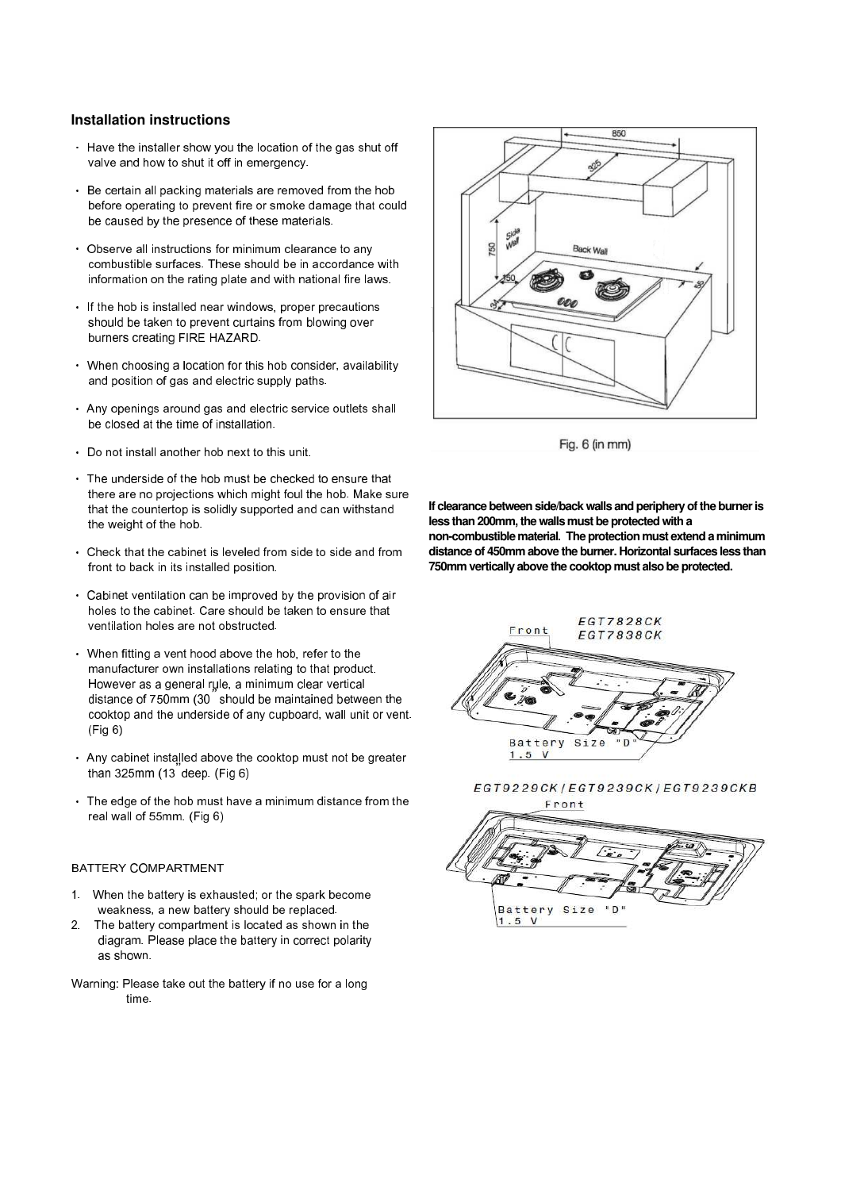# **Installation instructions**

- Have the installer show you the location of the gas shut off valve and how to shut it off in emergency.
- Be certain all packing materials are removed from the hob before operating to prevent fire or smoke damage that could be caused by the presence of these materials.
- Observe all instructions for minimum clearance to any combustible surfaces. These should be in accordance with information on the rating plate and with national fire laws.
- If the hob is installed near windows, proper precautions should be taken to prevent curtains from blowing over burners creating FIRE HAZARD.
- When choosing a location for this hob consider, availability and position of gas and electric supply paths.
- Any openings around gas and electric service outlets shall be closed at the time of installation.
- Do not install another hob next to this unit.
- The underside of the hob must be checked to ensure that there are no projections which might foul the hob. Make sure that the countertop is solidly supported and can withstand the weight of the hob.
- Check that the cabinet is leveled from side to side and from front to back in its installed position.
- Cabinet ventilation can be improved by the provision of air holes to the cabinet. Care should be taken to ensure that ventilation holes are not obstructed.
- When fitting a vent hood above the hob, refer to the manufacturer own installations relating to that product. However as a general rule, a minimum clear vertical distance of 750mm (30**"** should be maintained between the cooktop and the underside of any cupboard, wall unit or vent. (Fig 6)
- Any cabinet installed above the cooktop must not be greater than 325mm (13**"** deep. (Fig 6)
- The edge of the hob must have a minimum distance from the real wall of 55mm. (Fig 6)

#### BATTERY COMPARTMENT

- 1. When the battery is exhausted; or the spark become weakness, a new battery should be replaced.
- 2. The battery compartment is located as shown in the diagram. Please place the battery in correct polarity as shown.
- Warning: Please take out the battery if no use for a long time.



Fig. 6 (in mm)

**If clearance between side/back walls and periphery of the burner is less than 200mm, the walls must be protected with a non-combustible material**. **The protection must extend a minimum distance of 450mm above the burner. Horizontal surfaces less than 750mm vertically above the cooktop must also be protected.**